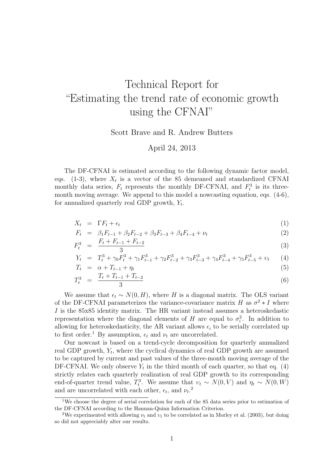## Technical Report for "Estimating the trend rate of economic growth using the CFNAI"

Scott Brave and R. Andrew Butters

## April 24, 2013

The DF-CFNAI is estimated according to the following dynamic factor model, eqs. (1-3), where  $X_t$  is a vector of the 85 demeaned and standardized CFNAI monthly data series,  $F_t$  represents the monthly DF-CFNAI, and  $F_t^3$  is its threemonth moving average. We append to this model a nowcasting equation, eqs. (4-6), for annualized quarterly real GDP growth,  $Y_t$ .

$$
X_t = \Gamma F_t + \epsilon_t \tag{1}
$$

$$
F_t = \beta_1 F_{t-1} + \beta_2 F_{t-2} + \beta_3 F_{t-3} + \beta_4 F_{t-4} + \nu_t
$$
\n(2)

$$
F_t^3 = \frac{F_t + F_{t-1} + F_{t-2}}{3} \tag{3}
$$

$$
Y_t = T_t^3 + \gamma_0 F_t^3 + \gamma_1 F_{t-1}^3 + \gamma_2 F_{t-2}^3 + \gamma_3 F_{t-3}^3 + \gamma_4 F_{t-4}^3 + \gamma_5 F_{t-5}^3 + v_t \tag{4}
$$
  
\n
$$
T_t = \alpha + T_{t-1} + v_t \tag{5}
$$

$$
T_t^3 = \frac{T_t + T_{t-1} + T_{t-2}}{3} \tag{6}
$$

We assume that  $\epsilon_t \sim N(0, H)$ , where H is a diagonal matrix. The OLS variant of the DF-CFNAI parameterizes the variance-covariance matrix H as  $\sigma^2 * I$  where I is the 85x85 identity matrix. The HR variant instead assumes a heteroskedastic representation where the diagonal elements of H are equal to  $\sigma_i^2$ . In addition to allowing for heteroskedasticity, the AR variant allows  $\epsilon_i$  to be serially correlated up to first order.<sup>1</sup> By assumption,  $\epsilon_t$  and  $\nu_t$  are uncorrelated.

Our nowcast is based on a trend-cycle decomposition for quarterly annualized real GDP growth,  $Y_t$ , where the cyclical dynamics of real GDP growth are assumed to be captured by current and past values of the three-month moving average of the DF-CFNAI. We only observe  $Y_t$  in the third month of each quarter, so that eq. (4) strictly relates each quarterly realization of real GDP growth to its corresponding end-of-quarter trend value,  $T_t^3$ . We assume that  $v_t \sim N(0, V)$  and  $\eta_t \sim N(0, W)$ and are uncorrelated with each other,  $\epsilon_t$ , and  $\nu_t$ <sup>2</sup>

<sup>&</sup>lt;sup>1</sup>We choose the degree of serial correlation for each of the 85 data series prior to estimation of the DF-CFNAI according to the Hannan-Quinn Information Criterion.

<sup>&</sup>lt;sup>2</sup>We experimented with allowing  $\nu_t$  and  $\nu_t$  to be correlated as in Morley et al. (2003), but doing so did not appreciably alter our results.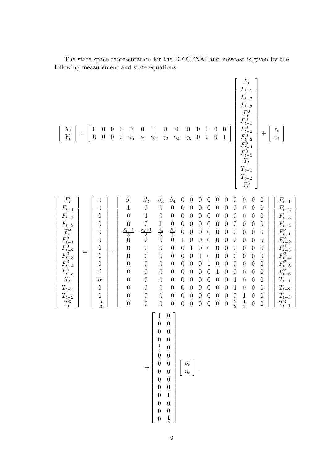| $\left[\begin{array}{c} X_t \\ Y_t \end{array}\right] = \left[\begin{array}{cccc} \Gamma & 0 & 0 & 0 \\ 0 & 0 & 0 & 0 \end{array}\right]$<br>$\frac{0}{\gamma_0}$                                                                                                                                                                                                                                                                                                                                                                                                                            | $\left[\begin{array}{c} 0 \\ 1 \end{array}\right]$<br>$\boldsymbol{0}$<br>$\begin{array}{c} 0 \\ \gamma_5 \end{array}$<br>$\begin{array}{c} 0 \\ 0 \end{array}$<br>$\theta$<br>$\boldsymbol{0}$<br>$\begin{array}{c} 0 \\ 0 \end{array}$<br>$\boldsymbol{0}$<br>$\overline{0}$<br>$\gamma_1$<br>$\gamma_3$<br>$\gamma_4$<br>$\overline{0}$<br>$\gamma_2$                                                                                                                                                                                                                                                                                                                                                                                                                                                                                                                                                                                                                                                                                                                                                                                                                                                                                                                                                                                                                                                                                                                                                                                                                                                                                                                                                                                                                                                                                                                                                                                                                                                                                                                                                                                                                                                                                                                                                                                                                        | $\left[ \begin{array}{c} F_t \ F_{t-1} \ F_{t-2} \ F_{t-3} \ F_{t}^3 \ F_{t-1}^3 \ F_{t-2}^3 \ F_{t-3}^3 \ F_{t-3}^3 \ F_{t-4}^3 \ F_{t-5}^3 \ T_{t} \ T_{t-1} \ T_{t-2} \ T_{t}^3 \end{array} \right]$                                                                                                                                                                                                                                                                                                                                                                                     |
|----------------------------------------------------------------------------------------------------------------------------------------------------------------------------------------------------------------------------------------------------------------------------------------------------------------------------------------------------------------------------------------------------------------------------------------------------------------------------------------------------------------------------------------------------------------------------------------------|---------------------------------------------------------------------------------------------------------------------------------------------------------------------------------------------------------------------------------------------------------------------------------------------------------------------------------------------------------------------------------------------------------------------------------------------------------------------------------------------------------------------------------------------------------------------------------------------------------------------------------------------------------------------------------------------------------------------------------------------------------------------------------------------------------------------------------------------------------------------------------------------------------------------------------------------------------------------------------------------------------------------------------------------------------------------------------------------------------------------------------------------------------------------------------------------------------------------------------------------------------------------------------------------------------------------------------------------------------------------------------------------------------------------------------------------------------------------------------------------------------------------------------------------------------------------------------------------------------------------------------------------------------------------------------------------------------------------------------------------------------------------------------------------------------------------------------------------------------------------------------------------------------------------------------------------------------------------------------------------------------------------------------------------------------------------------------------------------------------------------------------------------------------------------------------------------------------------------------------------------------------------------------------------------------------------------------------------------------------------------------|---------------------------------------------------------------------------------------------------------------------------------------------------------------------------------------------------------------------------------------------------------------------------------------------------------------------------------------------------------------------------------------------------------------------------------------------------------------------------------------------------------------------------------------------------------------------------------------------|
| $\begin{array}{c} \begin{array}{c} F_t \\ F_{t-1} \\ F_{t-2} \\ F_{t-3} \\ F_{t}^3 \\ F_{t-1}^3 \\ F_{t-2}^3 \\ F_{t-2}^3 \\ F_{t-3}^3 \\ F_{t-4}^3 \\ F_{t-5}^3 \\ T_t \\ T_t \\ T_{t-1} \\ T_{t-2} \\ T_t^3 \end{array} = \begin{array}{c} \begin{array}{c} 0 \\ 0 \\ 0 \\ 0 \\ 0 \\ 0 \\ 0 \\ 0 \\ T_t \\ 0 \\ T_t \\ 0 \\ 0 \\ 0 \\ 0 \\ 0 \\ \end{array} \end{array}$<br>$\beta_1$<br>$\begin{bmatrix} \n\mu_1 & 1 \\ 1 & 0 \\ 0 & \frac{\beta_1 + 1}{3} \\ 0 & 0 \\ 0 & 0 \\ 0 & 0\n\end{bmatrix}$<br>$\boldsymbol{0}$<br>$\begin{array}{c} 0 \\ 0 \\ 0 \end{array}$<br>$\overline{0}$ | $\beta_4$<br>$\beta_2$<br>$\beta_3$<br>$\overline{0}$<br>$\theta$<br>$\theta$<br>$\theta$<br>$\theta$<br>$\theta$<br>$\theta$<br>$\theta$<br>$\begin{pmatrix} 0 \\ 0 \\ 1 \\ \frac{\beta_2+1}{3} \\ 0 \end{pmatrix}$<br>$\boldsymbol{0}$<br>$\boldsymbol{0}$<br>$\overline{0}$<br>$\theta$<br>$\theta$<br>$\theta$<br>$\theta$<br>$\boldsymbol{0}$<br>$\boldsymbol{0}$<br>$\theta$<br>$\begin{array}{c} 0 \\ 1 \end{array}$<br>$\boldsymbol{0}$<br>$\theta$<br>$\overline{0}$<br>$\theta$<br>$\boldsymbol{0}$<br>$\boldsymbol{0}$<br>$\theta$<br>$\theta$<br>$\theta$<br>$\boldsymbol{0}$<br>$\theta$<br>$\theta$<br>$\overline{0}$<br>$\theta$<br>$\theta$<br>$\theta$<br>$\theta$<br>$\theta$<br>$\frac{\beta_3}{3}$ ()<br>$\frac{\beta_4}{3}$<br>$\theta$<br>$\theta$<br>$\theta$<br>$\theta$<br>$\theta$<br>$\theta$<br>$\theta$<br>$\theta$<br>$\mathbf{1}$<br>$\overline{0}$<br>$\theta$<br>$\theta$<br>$\theta$<br>$\theta$<br>$\theta$<br>$\theta$<br>$\theta$<br>$\overline{0}$<br>$\boldsymbol{0}$<br>$\overline{0}$<br>$\mathbf 1$<br>$\overline{0}$<br>$\boldsymbol{0}$<br>$\overline{0}$<br>$\theta$<br>$\theta$<br>$\theta$<br>$\theta$<br>$\boldsymbol{0}$<br>$\boldsymbol{0}$<br>$\boldsymbol{0}$<br>$\theta$<br>$\theta$<br>$\boldsymbol{0}$<br>$\theta$<br>1<br>$\theta$<br>$\overline{0}$<br>$\theta$<br>$\boldsymbol{0}$<br>$\boldsymbol{0}$<br>$\theta$<br>$\theta$<br>$\mathbf{1}$<br>$\theta$<br>$\theta$<br>$\overline{0}$<br>$\boldsymbol{0}$<br>$\overline{0}$<br>$\theta$<br>$\boldsymbol{0}$<br>$\boldsymbol{0}$<br>$\theta$<br>$\theta$<br>$\mathbf{1}$<br>$\overline{0}$<br>$\theta$<br>$\theta$<br>$\overline{0}$<br>$\theta$<br>$\theta$<br>$\theta$<br>$\boldsymbol{0}$<br>$\theta$<br>$\theta$<br>$\theta$<br>$\theta$<br>$\mathbf{1}$<br>$\theta$<br>$\overline{0}$<br>$\theta$<br>$\theta$<br>$\boldsymbol{0}$<br>$\boldsymbol{0}$<br>$\overline{0}$<br>$\mathbf 1$<br>$\overline{0}$<br>$\theta$<br>$\theta$<br>$\boldsymbol{0}$<br>$\overline{0}$<br>$\theta$<br>$\overline{0}$<br>$\theta$<br>$\boldsymbol{0}$<br>$\overline{0}$<br>$\overline{0}$<br>$\mathbf{1}$<br>$\overline{0}$<br>$\theta$<br>$\theta$<br>$\theta$<br>$\theta$<br>$\theta$<br>$\frac{2}{3}$<br>$\frac{1}{3}$<br>$\overline{0}$<br>$\overline{0}$<br>$\overline{0}$<br>$\theta$<br>$\overline{0}$<br>$\theta$<br>$\overline{0}$<br>$\overline{0}$<br>$\overline{0}$ | $\theta$<br>$\begin{array}{l} F_{t-1} \\ F_{t-2} \\ F_{t-3} \\ F_{t-4} \\ F_{t-1}^3 \\ F_{t-2}^3 \\ F_{t-3}^3 \\ F_{t-4}^3 \\ F_{t-5}^3 \\ F_{t-1}^2 \\ T_{t-2} \\ T_{t-3} \\ T_{t-1}^3 \end{array}$<br>O<br>$\theta$<br>$\theta$<br>$\theta$<br>$\theta$<br>$\theta$<br>$\overline{0}$<br>$\theta$<br>$\overline{0}$<br>$\theta$<br>$\theta$<br>$\overline{0}$<br>$\overline{0}$<br>$\theta$<br>$\theta$<br>$\theta$<br>$\theta$<br>$\overline{0}$<br>$\overline{0}$<br>$\theta$<br>$\overline{0}$<br>$\theta$<br>$\theta$<br>$\theta$<br>$\theta$<br>$\boldsymbol{0}$<br>$\boldsymbol{0}$ |
|                                                                                                                                                                                                                                                                                                                                                                                                                                                                                                                                                                                              | $\left[\begin{array}{cc} 1 & 0 \\ 0 & 0 \end{array}\right]$<br>$\boldsymbol{0}$<br>$\boldsymbol{0}$<br>$\begin{smallmatrix} 0\\ \frac{1}{3}\\ 0\\ 0\\ 0 \end{smallmatrix}$<br>$\boldsymbol{0}$<br>$\begin{matrix} 0 \\ 0 \end{matrix}$<br>$\begin{array}{c} 0 \\ 0 \\ 0 \\ 0 \\ 1 \\ 0 \\ 0 \end{array}$<br>$\left[ \begin{array}{c} \nu_t \\ \eta_t \end{array} \right].$<br>$\begin{array}{c} 0 \\ 0 \\ 0 \\ 0 \\ 0 \end{array}$<br>$\frac{1}{3}$<br>$\overline{0}$                                                                                                                                                                                                                                                                                                                                                                                                                                                                                                                                                                                                                                                                                                                                                                                                                                                                                                                                                                                                                                                                                                                                                                                                                                                                                                                                                                                                                                                                                                                                                                                                                                                                                                                                                                                                                                                                                                           |                                                                                                                                                                                                                                                                                                                                                                                                                                                                                                                                                                                             |

The state-space representation for the DF-CFNAI and nowcast is given by the following measurement and state equations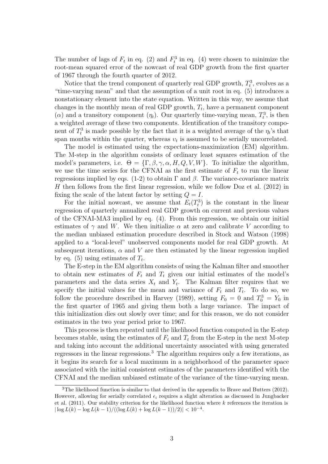The number of lags of  $F_t$  in eq. (2) and  $F_t^3$  in eq. (4) were chosen to minimize the root-mean squared error of the nowcast of real GDP growth from the first quarter of 1967 through the fourth quarter of 2012.

Notice that the trend component of quarterly real GDP growth,  $T_t^3$ , evolves as a "time-varying mean" and that the assumption of a unit root in eq. (5) introduces a nonstationary element into the state equation. Written in this way, we assume that changes in the monthly mean of real GDP growth,  $T_t$ , have a permanent component ( $\alpha$ ) and a transitory component  $(\eta_t)$ . Our quarterly time-varying mean,  $T_t^3$ , is then a weighted average of these two components. Identification of the transitory component of  $T_t^3$  is made possible by the fact that it is a weighted average of the  $\eta_t$ 's that span months within the quarter, whereas  $v_t$  is assumed to be serially uncorrelated.

The model is estimated using the expectations-maximization (EM) algorithm. The M-step in the algorithm consists of ordinary least squares estimation of the model's parameters, i.e.  $\Theta = {\{\Gamma, \beta, \gamma, \alpha, H, Q, V, W\}}$ . To initialize the algorithm, we use the time series for the CFNAI as the first estimate of  $F_t$  to run the linear regressions implied by eqs. (1-2) to obtain Γ and β. The variance-covariance matrix H then follows from the first linear regression, while we follow Doz et al.  $(2012)$  in fixing the scale of the latent factor by setting  $Q = I$ .

For the initial nowcast, we assume that  $E_t(T_t^3)$  is the constant in the linear regression of quarterly annualized real GDP growth on current and previous values of the CFNAI-MA3 implied by eq. (4). From this regression, we obtain our initial estimates of  $\gamma$  and W. We then initialize  $\alpha$  at zero and calibrate V according to the median unbiased estimation procedure described in Stock and Watson (1998) applied to a "local-level" unobserved components model for real GDP growth. At subsequent iterations,  $\alpha$  and V are then estimated by the linear regression implied by eq. (5) using estimates of  $T_t$ .

The E-step in the EM algorithm consists of using the Kalman filter and smoother to obtain new estimates of  $F_t$  and  $T_t$  given our initial estimates of the model's parameters and the data series  $X_t$  and  $Y_t$ . The Kalman filter requires that we specify the initial values for the mean and variance of  $F_t$  and  $T_t$ . To do so, we follow the procedure described in Harvey (1989), setting  $F_0 = 0$  and  $T_0^3 = Y_0$  in the first quarter of 1965 and giving them both a large variance. The impact of this initialization dies out slowly over time; and for this reason, we do not consider estimates in the two year period prior to 1967.

This process is then repeated until the likelihood function computed in the E-step becomes stable, using the estimates of  $F_t$  and  $T_t$  from the E-step in the next M-step and taking into account the additional uncertainty associated with using generated regressors in the linear regressions.<sup>3</sup> The algorithm requires only a few iterations, as it begins its search for a local maximum in a neighborhood of the parameter space associated with the initial consistent estimates of the parameters identified with the CFNAI and the median unbiased estimate of the variance of the time-varying mean.

<sup>&</sup>lt;sup>3</sup>The likelihood function is similar to that derived in the appendix to Brave and Butters (2012). However, allowing for serially correlated  $\epsilon_i$  requires a slight alteration as discussed in Jungbacker et al.  $(2011)$ . Our stability criterion for the likelihood function where k references the iteration is  $|\log L(k) - \log L(k-1)/((\log L(k) + \log L(k-1))/2)| < 10^{-4}$ .